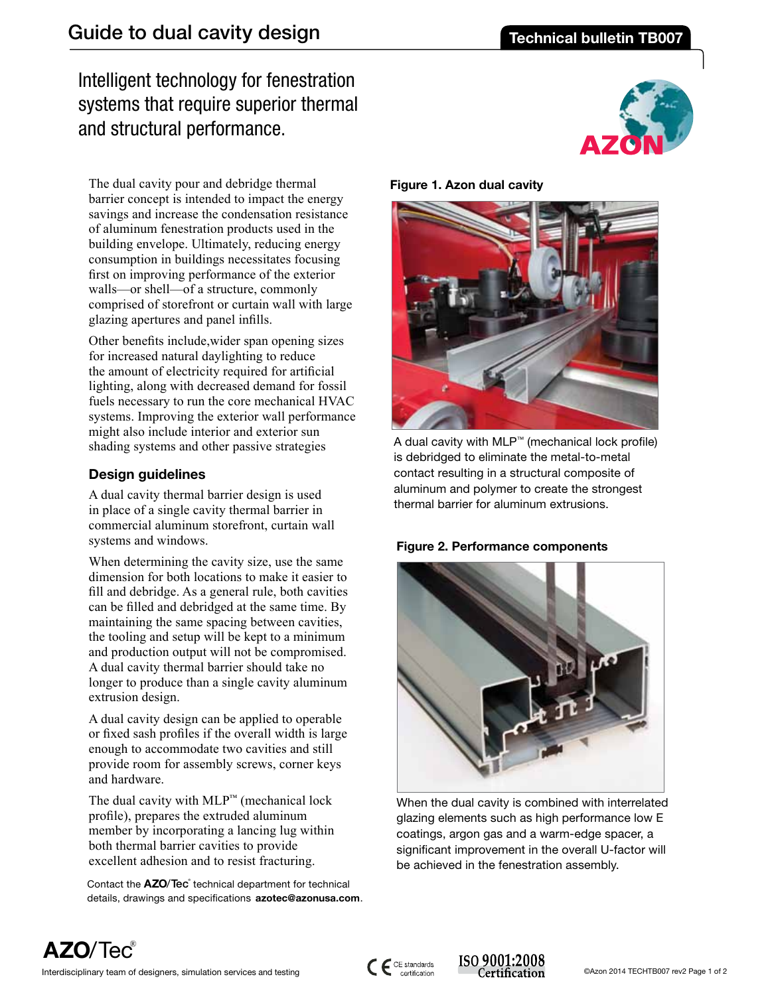# Intelligent technology for fenestration systems that require superior thermal and structural performance.

The dual cavity pour and debridge thermal barrier concept is intended to impact the energy savings and increase the condensation resistance of aluminum fenestration products used in the building envelope. Ultimately, reducing energy consumption in buildings necessitates focusing first on improving performance of the exterior walls—or shell—of a structure, commonly comprised of storefront or curtain wall with large glazing apertures and panel infills.

Other benefits include,wider span opening sizes for increased natural daylighting to reduce the amount of electricity required for artificial lighting, along with decreased demand for fossil fuels necessary to run the core mechanical HVAC systems. Improving the exterior wall performance might also include interior and exterior sun shading systems and other passive strategies

## **Design guidelines**

A dual cavity thermal barrier design is used in place of a single cavity thermal barrier in commercial aluminum storefront, curtain wall systems and windows.

When determining the cavity size, use the same dimension for both locations to make it easier to fill and debridge. As a general rule, both cavities can be filled and debridged at the same time. By maintaining the same spacing between cavities, the tooling and setup will be kept to a minimum and production output will not be compromised. A dual cavity thermal barrier should take no longer to produce than a single cavity aluminum extrusion design.

A dual cavity design can be applied to operable or fixed sash profiles if the overall width is large enough to accommodate two cavities and still provide room for assembly screws, corner keys and hardware.

The dual cavity with  $MLP^{m}$  (mechanical lock profile), prepares the extruded aluminum member by incorporating a lancing lug within both thermal barrier cavities to provide excellent adhesion and to resist fracturing.

Contact the **AZO**/Tec<sup>®</sup> technical department for technical details, drawings and specifications **azotec@azonusa.com**.

**Figure 1. Azon dual cavity**



A dual cavity with MLP™ (mechanical lock profile) is debridged to eliminate the metal-to-metal contact resulting in a structural composite of aluminum and polymer to create the strongest thermal barrier for aluminum extrusions.





When the dual cavity is combined with interrelated glazing elements such as high performance low E coatings, argon gas and a warm-edge spacer, a significant improvement in the overall U-factor will be achieved in the fenestration assembly.

**AZO**/Tec®